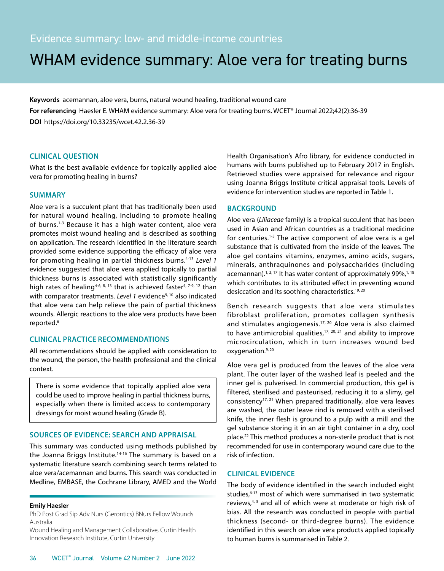# WHAM evidence summary: Aloe vera for treating burns

**Keywords** acemannan, aloe vera, burns, natural wound healing, traditional wound care **For referencing** Haesler E. WHAM evidence summary: Aloe vera for treating burns. WCET® Journal 2022;42(2):36-39 **DOI** https://doi.org/10.33235/wcet.42.2.36-39

#### **CLINICAL QUESTION**

What is the best available evidence for topically applied aloe vera for promoting healing in burns?

#### **SUMMARY**

Aloe vera is a succulent plant that has traditionally been used for natural wound healing, including to promote healing of burns.<sup>1-3</sup> Because it has a high water content, aloe vera promotes moist wound healing and is described as soothing on application. The research identified in the literature search provided some evidence supporting the efficacy of aloe vera for promoting healing in partial thickness burns.4-13 *Level 1* evidence suggested that aloe vera applied topically to partial thickness burns is associated with statistically significantly high rates of healing<sup>4-6, 8, 13</sup> that is achieved faster<sup>4, 7-9, 12</sup> than with comparator treatments. Level 1 evidence<sup>9, 10</sup> also indicated that aloe vera can help relieve the pain of partial thickness wounds. Allergic reactions to the aloe vera products have been reported.<sup>6</sup>

### **CLINICAL PRACTICE RECOMMENDATIONS**

All recommendations should be applied with consideration to the wound, the person, the health professional and the clinical context.

There is some evidence that topically applied aloe vera could be used to improve healing in partial thickness burns, especially when there is limited access to contemporary dressings for moist wound healing (Grade B).

# **SOURCES OF EVIDENCE: SEARCH AND APPRAISAL**

This summary was conducted using methods published by the Joanna Briggs Institute.<sup>14-16</sup> The summary is based on a systematic literature search combining search terms related to aloe vera/acemannan and burns. This search was conducted in Medline, EMBASE, the Cochrane Library, AMED and the World

#### **Emily Haesler**

PhD Post Grad Sip Adv Nurs (Gerontics) BNurs Fellow Wounds Australia

Wound Healing and Management Collaborative, Curtin Health Innovation Research Institute, Curtin University

Health Organisation's Afro library, for evidence conducted in humans with burns published up to February 2017 in English. Retrieved studies were appraised for relevance and rigour using Joanna Briggs Institute critical appraisal tools. Levels of evidence for intervention studies are reported in Table 1.

## **BACKGROUND**

Aloe vera (*Liliaceae* family) is a tropical succulent that has been used in Asian and African countries as a traditional medicine for centuries.1-3 The active component of aloe vera is a gel substance that is cultivated from the inside of the leaves. The aloe gel contains vitamins, enzymes, amino acids, sugars, minerals, anthraquinones and polysaccharides (including acemannan). $1, 3, 17$  It has water content of approximately 99%, $1, 18$ which contributes to its attributed effect in preventing wound desiccation and its soothing characteristics.<sup>19, 20</sup>

Bench research suggests that aloe vera stimulates fibroblast proliferation, promotes collagen synthesis and stimulates angiogenesis.<sup>17, 20</sup> Aloe vera is also claimed to have antimicrobial qualities, $17, 20, 21$  and ability to improve microcirculation, which in turn increases wound bed oxygenation.<sup>9, 20</sup>

Aloe vera gel is produced from the leaves of the aloe vera plant. The outer layer of the washed leaf is peeled and the inner gel is pulverised. In commercial production, this gel is filtered, sterilised and pasteurised, reducing it to a slimy, gel consistency17, 21 When prepared traditionally, aloe vera leaves are washed, the outer leave rind is removed with a sterilised knife, the inner flesh is ground to a pulp with a mill and the gel substance storing it in an air tight container in a dry, cool place.22 This method produces a non-sterile product that is not recommended for use in contemporary wound care due to the risk of infection.

# **CLINICAL EVIDENCE**

The body of evidence identified in the search included eight studies, $6-13$  most of which were summarised in two systematic reviews,<sup>4, 5</sup> and all of which were at moderate or high risk of bias. All the research was conducted in people with partial thickness (second- or third-degree burns). The evidence identified in this search on aloe vera products applied topically to human burns is summarised in Table 2.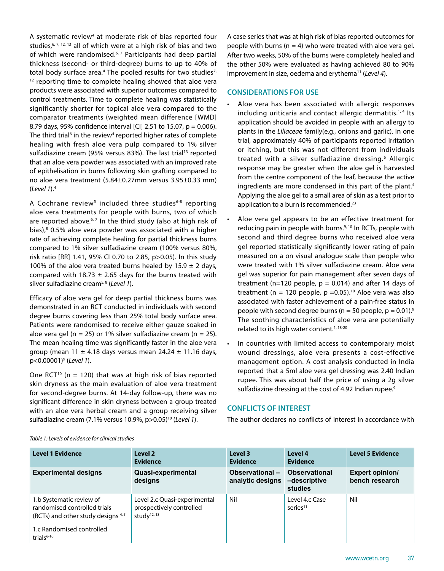A systematic review<sup>4</sup> at moderate risk of bias reported four studies,  $6, 7, 12, 13$  all of which were at a high risk of bias and two of which were randomised.<sup>6, 7</sup> Participants had deep partial thickness (second- or third-degree) burns to up to 40% of total body surface area.<sup>4</sup> The pooled results for two studies<sup>7,</sup> <sup>12</sup> reporting time to complete healing showed that aloe vera products were associated with superior outcomes compared to control treatments. Time to complete healing was statistically significantly shorter for topical aloe vera compared to the comparator treatments (weighted mean difference [WMD] 8.79 days, 95% confidence interval [CI] 2.51 to 15.07, p = 0.006). The third trial<sup>6</sup> in the review<sup>4</sup> reported higher rates of complete healing with fresh aloe vera pulp compared to 1% silver sulfadiazine cream (95% versus 83%). The last trial<sup>13</sup> reported that an aloe vera powder was associated with an improved rate of epithelisation in burns following skin grafting compared to no aloe vera treatment (5.84±0.27mm versus 3.95±0.33 mm) (*Level 1*).4

A Cochrane review<sup>5</sup> included three studies<sup>6-8</sup> reporting aloe vera treatments for people with burns, two of which are reported above.<sup>6, 7</sup> In the third study (also at high risk of bias),<sup>8</sup> 0.5% aloe vera powder was associated with a higher rate of achieving complete healing for partial thickness burns compared to 1% silver sulfadiazine cream (100% versus 80%, risk ratio [RR] 1.41, 95% CI 0.70 to 2.85, p>0.05). In this study 100% of the aloe vera treated burns healed by 15.9  $\pm$  2 days, compared with 18.73  $\pm$  2.65 days for the burns treated with silver sulfadiazine cream5, 8 (*Level 1*).

Efficacy of aloe vera gel for deep partial thickness burns was demonstrated in an RCT conducted in individuals with second degree burns covering less than 25% total body surface area. Patients were randomised to receive either gauze soaked in aloe vera gel (n = 25) or 1% silver sulfadiazine cream (n = 25). The mean healing time was significantly faster in the aloe vera group (mean 11  $\pm$  4.18 days versus mean 24.24  $\pm$  11.16 days, p<0.00001)9 (*Level 1*).

One RCT<sup>10</sup> (n = 120) that was at high risk of bias reported skin dryness as the main evaluation of aloe vera treatment for second-degree burns. At 14-day follow-up, there was no significant difference in skin dryness between a group treated with an aloe vera herbal cream and a group receiving silver sulfadiazine cream (7.1% versus 10.9%, p>0.05)10 (*Level 1*).

A case series that was at high risk of bias reported outcomes for people with burns ( $n = 4$ ) who were treated with aloe vera gel. After two weeks, 50% of the burns were completely healed and the other 50% were evaluated as having achieved 80 to 90% improvement in size, oedema and erythema<sup>11</sup> (*Level 4*).

## **CONSIDERATIONS FOR USE**

- Aloe vera has been associated with allergic responses including uriticaria and contact allergic dermatitis.<sup>1, 4</sup> Its application should be avoided in people with an allergy to plants in the *Liliaceae* family(e.g., onions and garlic). In one trial, approximately 40% of participants reported irritation or itching, but this was not different from individuals treated with a silver sulfadiazine dressing.6 Allergic response may be greater when the aloe gel is harvested from the centre component of the leaf, because the active ingredients are more condensed in this part of the plant.<sup>4</sup> Applying the aloe gel to a small area of skin as a test prior to application to a burn is recommended.<sup>23</sup>
- Aloe vera gel appears to be an effective treatment for reducing pain in people with burns.<sup>9, 10</sup> In RCTs, people with second and third degree burns who received aloe vera gel reported statistically significantly lower rating of pain measured on a on visual analogue scale than people who were treated with 1% silver sulfadiazine cream. Aloe vera gel was superior for pain management after seven days of treatment (n=120 people,  $p = 0.014$ ) and after 14 days of treatment (n = 120 people, p = 0.05).<sup>10</sup> Aloe vera was also associated with faster achievement of a pain-free status in people with second degree burns ( $n = 50$  people,  $p = 0.01$ ).<sup>9</sup> The soothing characteristics of aloe vera are potentially related to its high water content.<sup>1, 18-20</sup>
- In countries with limited access to contemporary moist wound dressings, aloe vera presents a cost-effective management option. A cost analysis conducted in India reported that a 5ml aloe vera gel dressing was 2.40 Indian rupee. This was about half the price of using a 2g silver sulfadiazine dressing at the cost of 4.92 Indian rupee.<sup>9</sup>

# **CONFLICTS OF INTEREST**

The author declares no conflicts of interest in accordance with

| <b>Level 1 Evidence</b>                                                                                                                        | Level 2<br><b>Evidence</b>                                                          | Level 3<br><b>Evidence</b>         | Level 4<br><b>Evidence</b>                      | <b>Level 5 Evidence</b>                  |
|------------------------------------------------------------------------------------------------------------------------------------------------|-------------------------------------------------------------------------------------|------------------------------------|-------------------------------------------------|------------------------------------------|
| <b>Experimental designs</b>                                                                                                                    | Quasi-experimental<br>designs                                                       | Observational-<br>analytic designs | <b>Observational</b><br>-descriptive<br>studies | <b>Expert opinion/</b><br>bench research |
| 1.b Systematic review of<br>randomised controlled trials<br>(RCTs) and other study designs $4,5$<br>1.c Randomised controlled<br>trials $6-10$ | Level 2.c Quasi-experimental<br>prospectively controlled<br>study <sup>12, 13</sup> | Nil                                | Level 4.c Case<br>series <sup>11</sup>          | Nil                                      |

*Table 1: Levels of evidence for clinical studies*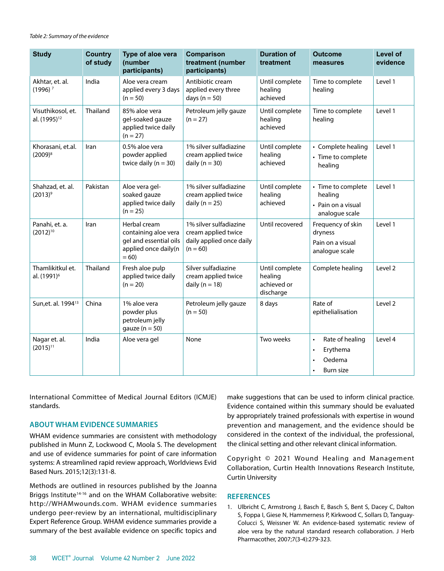*Table 2: Summary of the evidence*

| <b>Study</b>                                  | <b>Country</b><br>of study | Type of aloe vera<br>(number<br>participants)                                                    | Comparison<br>treatment (number<br>participants)                                        | <b>Duration of</b><br>treatment                       | <b>Outcome</b><br>measures                                                                | Level of<br>evidence |
|-----------------------------------------------|----------------------------|--------------------------------------------------------------------------------------------------|-----------------------------------------------------------------------------------------|-------------------------------------------------------|-------------------------------------------------------------------------------------------|----------------------|
| Akhtar, et. al.<br>$(1996)^7$                 | India                      | Aloe vera cream<br>applied every 3 days<br>$(n = 50)$                                            | Antibiotic cream<br>applied every three<br>days ( $n = 50$ )                            | Until complete<br>healing<br>achieved                 | Time to complete<br>healing                                                               | Level 1              |
| Visuthikosol, et.<br>al. (1995) <sup>12</sup> | Thailand                   | 85% aloe vera<br>gel-soaked gauze<br>applied twice daily<br>$(n = 27)$                           | Petroleum jelly gauze<br>$(n = 27)$                                                     | Until complete<br>healing<br>achieved                 | Time to complete<br>healing                                                               | Level 1              |
| Khorasani, et.al.<br>$(2009)^{8}$             | Iran                       | 0.5% aloe vera<br>powder applied<br>twice daily $(n = 30)$                                       | 1% silver sulfadiazine<br>cream applied twice<br>daily ( $n = 30$ )                     | Until complete<br>healing<br>achieved                 | • Complete healing<br>• Time to complete<br>healing                                       | Level 1              |
| Shahzad, et. al.<br>$(2013)^9$                | Pakistan                   | Aloe vera gel-<br>soaked gauze<br>applied twice daily<br>$(n = 25)$                              | 1% silver sulfadiazine<br>cream applied twice<br>daily ( $n = 25$ )                     | Until complete<br>healing<br>achieved                 | • Time to complete<br>healing<br>• Pain on a visual<br>analogue scale                     | Level 1              |
| Panahi, et. a.<br>$(2012)^{10}$               | Iran                       | Herbal cream<br>containing aloe vera<br>gel and essential oils<br>applied once daily(n<br>$= 60$ | 1% silver sulfadiazine<br>cream applied twice<br>daily applied once daily<br>$(n = 60)$ | Until recovered                                       | Frequency of skin<br>dryness<br>Pain on a visual<br>analogue scale                        | Level 1              |
| Thamlikitkul et.<br>al. (1991) <sup>6</sup>   | Thailand                   | Fresh aloe pulp<br>applied twice daily<br>$(n = 20)$                                             | Silver sulfadiazine<br>cream applied twice<br>daily ( $n = 18$ )                        | Until complete<br>healing<br>achieved or<br>discharge | Complete healing                                                                          | Level 2              |
| Sun, et. al. 1994 <sup>13</sup>               | China                      | 1% aloe vera<br>powder plus<br>petroleum jelly<br>gauze ( $n = 50$ )                             | Petroleum jelly gauze<br>$(n = 50)$                                                     | 8 days                                                | Rate of<br>epithelialisation                                                              | Level 2              |
| Nagar et. al.<br>$(2015)^{11}$                | India                      | Aloe vera gel                                                                                    | None                                                                                    | Two weeks                                             | Rate of healing<br>$\bullet$<br>Erythema<br>$\bullet$<br>Oedema<br>Burn size<br>$\bullet$ | Level 4              |

International Committee of Medical Journal Editors (ICMJE) standards.

### **ABOUT WHAM EVIDENCE SUMMARIES**

WHAM evidence summaries are consistent with methodology published in Munn Z, Lockwood C, Moola S. The development and use of evidence summaries for point of care information systems: A streamlined rapid review approach, Worldviews Evid Based Nurs. 2015;12(3):131-8.

Methods are outlined in resources published by the Joanna Briggs Institute<sup>14-16</sup> and on the WHAM Collaborative website: http://WHAMwounds.com. WHAM evidence summaries undergo peer-review by an international, multidisciplinary Expert Reference Group. WHAM evidence summaries provide a summary of the best available evidence on specific topics and

make suggestions that can be used to inform clinical practice. Evidence contained within this summary should be evaluated by appropriately trained professionals with expertise in wound prevention and management, and the evidence should be considered in the context of the individual, the professional, the clinical setting and other relevant clinical information.

Copyright © 2021 Wound Healing and Management Collaboration, Curtin Health Innovations Research Institute, Curtin University

#### **REFERENCES**

1. Ulbricht C, Armstrong J, Basch E, Basch S, Bent S, Dacey C, Dalton S, Foppa I, Giese N, Hammerness P, Kirkwood C, Sollars D, Tanguay-Colucci S, Weissner W. An evidence-based systematic review of aloe vera by the natural standard research collaboration. J Herb Pharmacother, 2007;7(3-4):279-323.